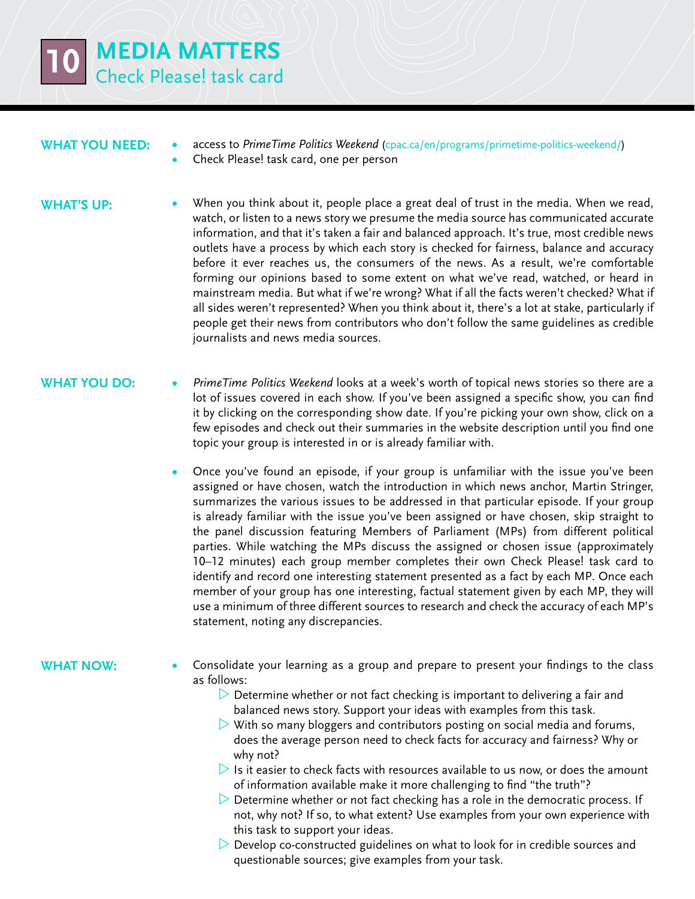

### **What you need:**

**•**  access to *PrimeTime Politics Weekend* ([cpac.ca/en/programs/primetime-politics-weekend/](http://www.cpac.ca/en/programs/primetime-politics-weekend/))

Check Please! task card, one per person

#### **WHAT'S UP:**

When you think about it, people place a great deal of trust in the media. When we read, watch, or listen to a news story we presume the media source has communicated accurate information, and that it's taken a fair and balanced approach. It's true, most credible news outlets have a process by which each story is checked for fairness, balance and accuracy before it ever reaches us, the consumers of the news. As a result, we're comfortable forming our opinions based to some extent on what we've read, watched, or heard in mainstream media. But what if we're wrong? What if all the facts weren't checked? What if all sides weren't represented? When you think about it, there's a lot at stake, particularly if people get their news from contributors who don't follow the same guidelines as credible journalists and news media sources.

# **WHAT YOU DO:**

- **PrimeTime Politics Weekend looks at a week's worth of topical news stories so there are a** lot of issues covered in each show. If you've been assigned a specific show, you can find it by clicking on the corresponding show date. If you're picking your own show, click on a few episodes and check out their summaries in the website description until you find one topic your group is interested in or is already familiar with.
	- Once you've found an episode, if your group is unfamiliar with the issue you've been assigned or have chosen, watch the introduction in which news anchor, Martin Stringer, summarizes the various issues to be addressed in that particular episode. If your group is already familiar with the issue you've been assigned or have chosen, skip straight to the panel discussion featuring Members of Parliament (MPs) from different political parties. While watching the MPs discuss the assigned or chosen issue (approximately 10–12 minutes) each group member completes their own Check Please! task card to identify and record one interesting statement presented as a fact by each MP. Once each member of your group has one interesting, factual statement given by each MP, they will use a minimum of three different sources to research and check the accuracy of each MP's statement, noting any discrepancies.

# **What now:**

- Consolidate your learning as a group and prepare to present your findings to the class as follows:
	- $\triangleright$  Determine whether or not fact checking is important to delivering a fair and balanced news story. Support your ideas with examples from this task.
	- $\triangleright$  With so many bloggers and contributors posting on social media and forums, does the average person need to check facts for accuracy and fairness? Why or why not?
	- $\triangleright$  Is it easier to check facts with resources available to us now, or does the amount of information available make it more challenging to find "the truth"?
	- $\triangleright$  Determine whether or not fact checking has a role in the democratic process. If not, why not? If so, to what extent? Use examples from your own experience with this task to support your ideas.
	- $\triangleright$  Develop co-constructed guidelines on what to look for in credible sources and questionable sources; give examples from your task.